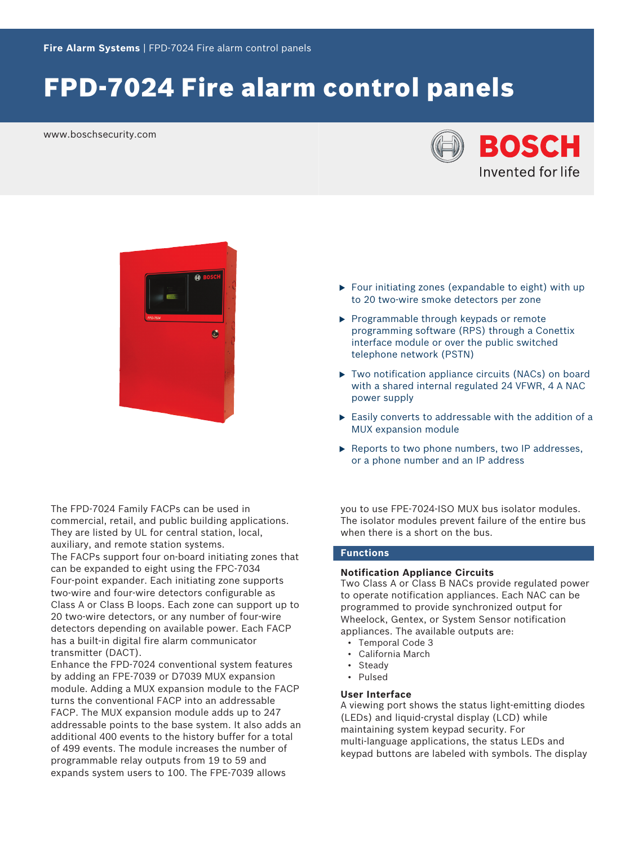# FPD-7024 Fire alarm control panels

www.boschsecurity.com





The FPD‑7024 Family FACPs can be used in commercial, retail, and public building applications. They are listed by UL for central station, local, auxiliary, and remote station systems. The FACPs support four on‑board initiating zones that can be expanded to eight using the FPC‑7034 Four‑point expander. Each initiating zone supports two‑wire and four‑wire detectors configurable as Class A or Class B loops. Each zone can support up to 20 two-wire detectors, or any number of four-wire detectors depending on available power. Each FACP has a built‑in digital fire alarm communicator transmitter (DACT).

Enhance the FPD‑7024 conventional system features by adding an FPE-7039 or D7039 MUX expansion module. Adding a MUX expansion module to the FACP turns the conventional FACP into an addressable FACP. The MUX expansion module adds up to 247 addressable points to the base system. It also adds an additional 400 events to the history buffer for a total of 499 events. The module increases the number of programmable relay outputs from 19 to 59 and expands system users to 100. The FPE-7039 allows

- $\triangleright$  Four initiating zones (expandable to eight) with up to 20 two‑wire smoke detectors per zone
- $\blacktriangleright$  Programmable through keypads or remote programming software (RPS) through a Conettix interface module or over the public switched telephone network (PSTN)
- $\triangleright$  Two notification appliance circuits (NACs) on board with a shared internal regulated 24 VFWR, 4 A NAC power supply
- $\blacktriangleright$  Easily converts to addressable with the addition of a MUX expansion module
- $\blacktriangleright$  Reports to two phone numbers, two IP addresses, or a phone number and an IP address

you to use FPE-7024-ISO MUX bus isolator modules. The isolator modules prevent failure of the entire bus when there is a short on the bus.

# **Functions**

#### **Notification Appliance Circuits**

Two Class A or Class B NACs provide regulated power to operate notification appliances. Each NAC can be programmed to provide synchronized output for Wheelock, Gentex, or System Sensor notification appliances. The available outputs are:

- Temporal Code 3
- California March
- **Steady**
- Pulsed
- **User Interface**

A viewing port shows the status light‑emitting diodes (LEDs) and liquid‑crystal display (LCD) while maintaining system keypad security. For multi-language applications, the status LEDs and keypad buttons are labeled with symbols. The display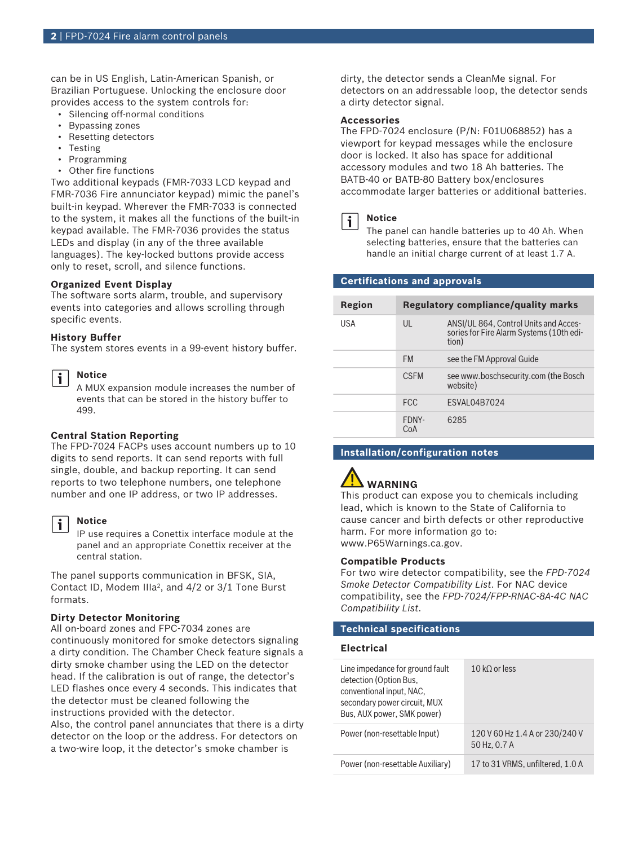can be in US English, Latin-American Spanish, or Brazilian Portuguese. Unlocking the enclosure door provides access to the system controls for:

- Silencing off‑normal conditions
- Bypassing zones
- Resetting detectors
- Testing
- Programming
- Other fire functions

Two additional keypads (FMR‑7033 LCD keypad and FMR-7036 Fire annunciator keypad) mimic the panel's built-in keypad. Wherever the FMR-7033 is connected to the system, it makes all the functions of the built-in keypad available. The FMR-7036 provides the status LEDs and display (in any of the three available languages). The key-locked buttons provide access only to reset, scroll, and silence functions.

#### **Organized Event Display**

The software sorts alarm, trouble, and supervisory events into categories and allows scrolling through specific events.

#### **History Buffer**

The system stores events in a 99‑event history buffer.

# **Notice**

i

A MUX expansion module increases the number of events that can be stored in the history buffer to 499.

# **Central Station Reporting**

The FPD-7024 FACPs uses account numbers up to 10 digits to send reports. It can send reports with full single, double, and backup reporting. It can send reports to two telephone numbers, one telephone number and one IP address, or two IP addresses.

# i

#### **Notice**

IP use requires a Conettix interface module at the panel and an appropriate Conettix receiver at the central station.

The panel supports communication in BFSK, SIA, Contact ID, Modem IIIa<sup>2</sup>, and 4/2 or 3/1 Tone Burst formats.

#### **Dirty Detector Monitoring**

All on‑board zones and FPC‑7034 zones are continuously monitored for smoke detectors signaling a dirty condition. The Chamber Check feature signals a dirty smoke chamber using the LED on the detector head. If the calibration is out of range, the detector's LED flashes once every 4 seconds. This indicates that the detector must be cleaned following the instructions provided with the detector. Also, the control panel annunciates that there is a dirty detector on the loop or the address. For detectors on a two-wire loop, it the detector's smoke chamber is

dirty, the detector sends a CleanMe signal. For detectors on an addressable loop, the detector sends a dirty detector signal.

#### **Accessories**

The FPD‑7024 enclosure (P/N: F01U068852) has a viewport for keypad messages while the enclosure door is locked. It also has space for additional accessory modules and two 18 Ah batteries. The BATB‑40 or BATB-80 Battery box/enclosures accommodate larger batteries or additional batteries.



The panel can handle batteries up to 40 Ah. When selecting batteries, ensure that the batteries can

handle an initial charge current of at least 1.7 A.

# **Certifications and approvals**

| Region     |              | <b>Regulatory compliance/quality marks</b>                                                 |
|------------|--------------|--------------------------------------------------------------------------------------------|
| <b>USA</b> | $\mathsf{U}$ | ANSI/UL 864, Control Units and Acces-<br>sories for Fire Alarm Systems (10th edi-<br>tion) |
|            | <b>FM</b>    | see the FM Approval Guide                                                                  |
|            | <b>CSEM</b>  | see www.boschsecurity.com (the Bosch<br>website)                                           |
|            | <b>FCC</b>   | <b>FSVAI 04B7024</b>                                                                       |
|            | FDNY-<br>CoA | 6285                                                                                       |

# **Installation/configuration notes**

# **WARNING**

This product can expose you to chemicals including lead, which is known to the State of California to cause cancer and birth defects or other reproductive harm. For more information go to: [www.P65Warnings.ca.gov.](http://www.P65Warnings.ca.gov)

#### **Compatible Products**

For two wire detector compatibility, see the *FPD-7024 Smoke Detector Compatibility List*. For NAC device compatibility, see the *FPD-7024/FPP-RNAC-8A-4C NAC Compatibility List*.

# **Technical specifications**

#### **Electrical**

| Line impedance for ground fault<br>detection (Option Bus,<br>conventional input, NAC,<br>secondary power circuit, MUX<br>Bus, AUX power, SMK power) | 10 kO or less                                  |
|-----------------------------------------------------------------------------------------------------------------------------------------------------|------------------------------------------------|
| Power (non-resettable lnput)                                                                                                                        | 120 V 60 Hz 1.4 A or 230/240 V<br>50 Hz, 0.7 A |
| Power (non-resettable Auxiliary)                                                                                                                    | 17 to 31 VRMS, unfiltered, 1.0 A               |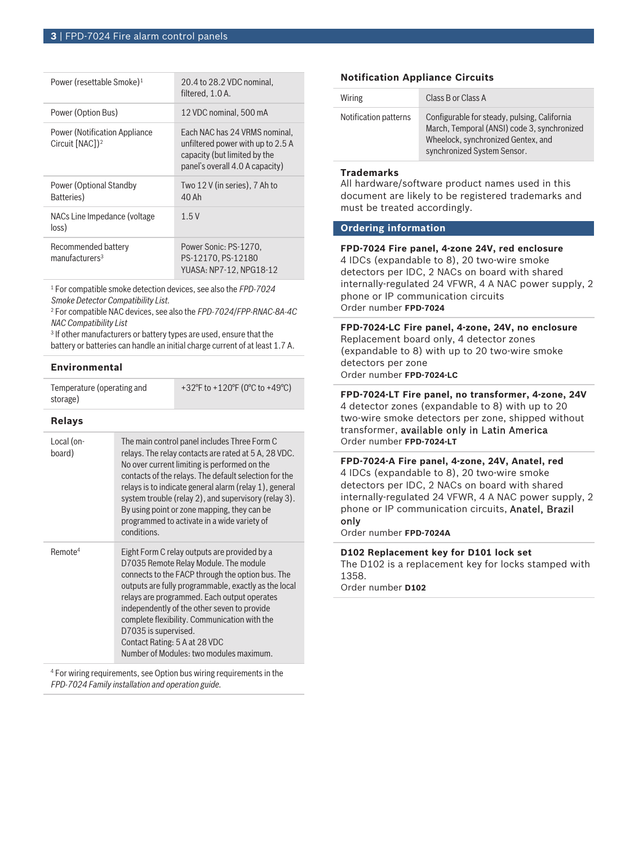| Power (resettable Smoke) <sup>1</sup>                                | 20.4 to 28.2 VDC nominal,<br>filtered, 1.0 A.                                                                                         |
|----------------------------------------------------------------------|---------------------------------------------------------------------------------------------------------------------------------------|
| Power (Option Bus)                                                   | 12 VDC nominal, 500 mA                                                                                                                |
| <b>Power (Notification Appliance)</b><br>Circuit [NAC]) <sup>2</sup> | Each NAC has 24 VRMS nominal,<br>unfiltered power with up to 2.5 A<br>capacity (but limited by the<br>panel's overall 4.0 A capacity) |
| Power (Optional Standby<br>Batteries)                                | Two 12 V (in series), 7 Ah to<br>40 Ah                                                                                                |
| NACs Line Impedance (voltage<br>loss)                                | 1.5V                                                                                                                                  |
| Recommended battery<br>manufacturers <sup>3</sup>                    | Power Sonic: PS-1270,<br>PS-12170, PS-12180<br>YUASA: NP7-12. NPG18-12                                                                |

1 For compatible smoke detection devices, see also the *FPD‑7024 Smoke Detector Compatibility List.*

2 For compatible NAC devices, see also the *FPD‑7024/FPP-RNAC-8A-4C NAC Compatibility List*

3 If other manufacturers or battery types are used, ensure that the battery or batteries can handle an initial charge current of at least 1.7 A.

# **Environmental**

| Temperature (operating and | +32°F to +120°F (0°C to +49°C) |
|----------------------------|--------------------------------|
| storage)                   |                                |

# **Relays**

| Local (on-<br>board) | The main control panel includes Three Form C<br>relays. The relay contacts are rated at 5 A, 28 VDC.<br>No over current limiting is performed on the<br>contacts of the relays. The default selection for the<br>relays is to indicate general alarm (relay 1), general<br>system trouble (relay 2), and supervisory (relay 3).<br>By using point or zone mapping, they can be<br>programmed to activate in a wide variety of<br>conditions.        |
|----------------------|-----------------------------------------------------------------------------------------------------------------------------------------------------------------------------------------------------------------------------------------------------------------------------------------------------------------------------------------------------------------------------------------------------------------------------------------------------|
| Remote <sup>4</sup>  | Eight Form C relay outputs are provided by a<br>D7035 Remote Relay Module. The module<br>connects to the FACP through the option bus. The<br>outputs are fully programmable, exactly as the local<br>relays are programmed. Each output operates<br>independently of the other seven to provide<br>complete flexibility. Communication with the<br>D7035 is supervised.<br>Contact Rating: 5 A at 28 VDC<br>Number of Modules: two modules maximum. |

4 For wiring requirements, see Option bus wiring requirements in the *FPD-7024 Family installation and operation guide*.

# **Notification Appliance Circuits**

| Wiring                | Class B or Class A                                                                                                                                               |
|-----------------------|------------------------------------------------------------------------------------------------------------------------------------------------------------------|
| Notification patterns | Configurable for steady, pulsing, California<br>March, Temporal (ANSI) code 3, synchronized<br>Wheelock, synchronized Gentex, and<br>synchronized System Sensor. |

### **Trademarks**

All hardware/software product names used in this document are likely to be registered trademarks and must be treated accordingly.

# **Ordering information**

# **FPD-7024 Fire panel, 4-zone 24V, red enclosure** 4 IDCs (expandable to 8), 20 two-wire smoke detectors per IDC, 2 NACs on board with shared internally‑regulated 24 VFWR, 4 A NAC power supply, 2 phone or IP communication circuits Order number **FPD-7024**

**FPD-7024-LC Fire panel, 4-zone, 24V, no enclosure** Replacement board only, 4 detector zones (expandable to 8) with up to 20 two‑wire smoke detectors per zone Order number **FPD-7024-LC**

**FPD-7024-LT Fire panel, no transformer, 4-zone, 24V** 4 detector zones (expandable to 8) with up to 20 two-wire smoke detectors per zone, shipped without transformer, available only in Latin America Order number **FPD-7024-LT**

**FPD-7024-A Fire panel, 4-zone, 24V, Anatel, red** 4 IDCs (expandable to 8), 20 two-wire smoke detectors per IDC, 2 NACs on board with shared internally-regulated 24 VFWR, 4 A NAC power supply, 2 phone or IP communication circuits, Anatel, Brazil only

Order number **FPD-7024A**

#### **D102 Replacement key for D101 lock set**

The D102 is a replacement key for locks stamped with 1358.

Order number **D102**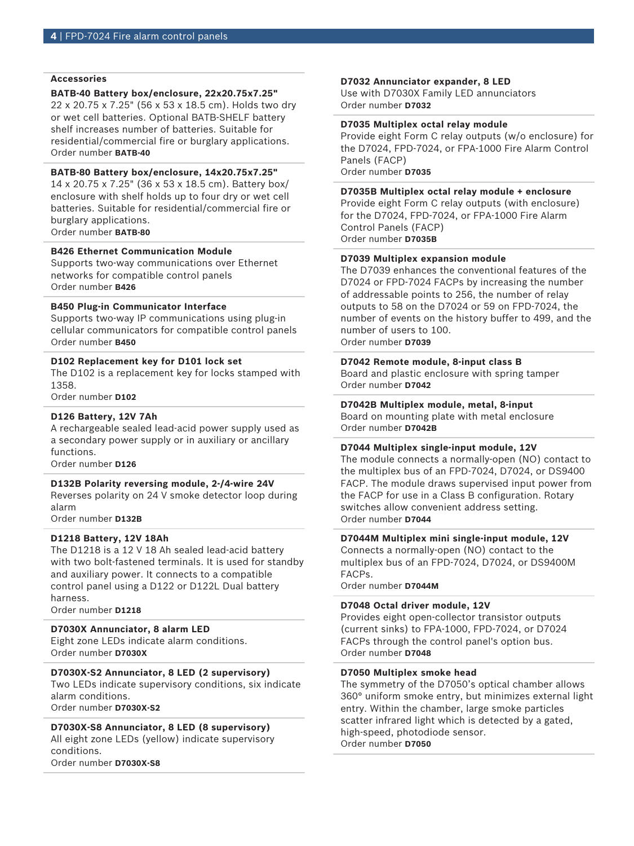#### **Accessories**

#### **BATB-40 Battery box/enclosure, 22x20.75x7.25"**

22 x 20.75 x 7.25" (56 x 53 x 18.5 cm). Holds two dry or wet cell batteries. Optional BATB-SHELF battery shelf increases number of batteries. Suitable for residential/commercial fire or burglary applications. Order number **BATB-40**

# **BATB-80 Battery box/enclosure, 14x20.75x7.25"**

14 x 20.75 x 7.25" (36 x 53 x 18.5 cm). Battery box/ enclosure with shelf holds up to four dry or wet cell batteries. Suitable for residential/commercial fire or burglary applications. Order number **BATB-80**

**B426 Ethernet Communication Module**

Supports two-way communications over Ethernet networks for compatible control panels Order number **B426**

#### **B450 Plug-in Communicator Interface**

Supports two-way IP communications using plug-in cellular communicators for compatible control panels Order number **B450**

#### **D102 Replacement key for D101 lock set**

The D102 is a replacement key for locks stamped with 1358.

Order number **D102**

#### **D126 Battery, 12V 7Ah**

A rechargeable sealed lead‑acid power supply used as a secondary power supply or in auxiliary or ancillary functions.

Order number **D126**

#### **D132B Polarity reversing module, 2-/4-wire 24V**

Reverses polarity on 24 V smoke detector loop during alarm

Order number **D132B**

#### **D1218 Battery, 12V 18Ah**

The D1218 is a 12 V 18 Ah sealed lead-acid battery with two bolt-fastened terminals. It is used for standby and auxiliary power. It connects to a compatible control panel using a D122 or D122L Dual battery harness.

Order number **D1218**

#### **D7030X Annunciator, 8 alarm LED**

Eight zone LEDs indicate alarm conditions. Order number **D7030X**

#### **D7030X-S2 Annunciator, 8 LED (2 supervisory)**

Two LEDs indicate supervisory conditions, six indicate alarm conditions.

Order number **D7030X-S2**

#### **D7030X-S8 Annunciator, 8 LED (8 supervisory)** All eight zone LEDs (yellow) indicate supervisory

conditions. Order number **D7030X-S8**

#### **D7032 Annunciator expander, 8 LED**

Use with D7030X Family LED annunciators Order number **D7032**

#### **D7035 Multiplex octal relay module**

Provide eight Form C relay outputs (w/o enclosure) for the D7024, FPD-7024, or FPA‑1000 Fire Alarm Control Panels (FACP) Order number **D7035**

#### **D7035B Multiplex octal relay module + enclosure**

Provide eight Form C relay outputs (with enclosure) for the D7024, FPD-7024, or FPA‑1000 Fire Alarm Control Panels (FACP) Order number **D7035B**

#### **D7039 Multiplex expansion module**

The D7039 enhances the conventional features of the D7024 or FPD‑7024 FACPs by increasing the number of addressable points to 256, the number of relay outputs to 58 on the D7024 or 59 on FPD‑7024, the number of events on the history buffer to 499, and the number of users to 100. Order number **D7039**

#### **D7042 Remote module, 8-input class B**

Board and plastic enclosure with spring tamper Order number **D7042**

#### **D7042B Multiplex module, metal, 8-input** Board on mounting plate with metal enclosure

Order number **D7042B**

#### **D7044 Multiplex single-input module, 12V**

The module connects a normally‑open (NO) contact to the multiplex bus of an FPD‑7024, D7024, or DS9400 FACP. The module draws supervised input power from the FACP for use in a Class B configuration. Rotary switches allow convenient address setting. Order number **D7044**

#### **D7044M Multiplex mini single-input module, 12V**

Connects a normally‑open (NO) contact to the multiplex bus of an FPD‑7024, D7024, or DS9400M FACPs.

Order number **D7044M**

#### **D7048 Octal driver module, 12V**

Provides eight open-collector transistor outputs (current sinks) to FPA‑1000, FPD-7024, or D7024 FACPs through the control panel's option bus. Order number **D7048**

#### **D7050 Multiplex smoke head**

The symmetry of the D7050's optical chamber allows 360° uniform smoke entry, but minimizes external light entry. Within the chamber, large smoke particles scatter infrared light which is detected by a gated, high-speed, photodiode sensor. Order number **D7050**